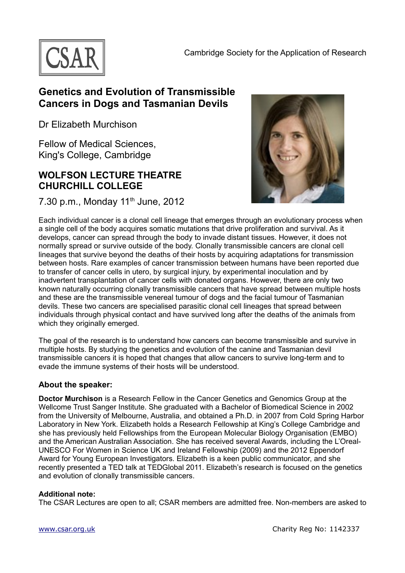

## **Genetics and Evolution of Transmissible Cancers in Dogs and Tasmanian Devils**

Dr Elizabeth Murchison

Fellow of Medical Sciences, King's College, Cambridge

## **WOLFSON LECTURE THEATRE CHURCHILL COLLEGE**

7.30 p.m., Monday 11<sup>th</sup> June, 2012



Each individual cancer is a clonal cell lineage that emerges through an evolutionary process when a single cell of the body acquires somatic mutations that drive proliferation and survival. As it develops, cancer can spread through the body to invade distant tissues. However, it does not normally spread or survive outside of the body. Clonally transmissible cancers are clonal cell lineages that survive beyond the deaths of their hosts by acquiring adaptations for transmission between hosts. Rare examples of cancer transmission between humans have been reported due to transfer of cancer cells in utero, by surgical injury, by experimental inoculation and by inadvertent transplantation of cancer cells with donated organs. However, there are only two known naturally occurring clonally transmissible cancers that have spread between multiple hosts and these are the transmissible venereal tumour of dogs and the facial tumour of Tasmanian devils. These two cancers are specialised parasitic clonal cell lineages that spread between individuals through physical contact and have survived long after the deaths of the animals from which they originally emerged.

The goal of the research is to understand how cancers can become transmissible and survive in multiple hosts. By studying the genetics and evolution of the canine and Tasmanian devil transmissible cancers it is hoped that changes that allow cancers to survive long-term and to evade the immune systems of their hosts will be understood.

## **About the speaker:**

**Doctor Murchison** is a Research Fellow in the Cancer Genetics and Genomics Group at the Wellcome Trust Sanger Institute. She graduated with a Bachelor of Biomedical Science in 2002 from the University of Melbourne, Australia, and obtained a Ph.D. in 2007 from Cold Spring Harbor Laboratory in New York. Elizabeth holds a Research Fellowship at King's College Cambridge and she has previously held Fellowships from the European Molecular Biology Organisation (EMBO) and the American Australian Association. She has received several Awards, including the L'Oreal-UNESCO For Women in Science UK and Ireland Fellowship (2009) and the 2012 Eppendorf Award for Young European Investigators. Elizabeth is a keen public communicator, and she recently presented a TED talk at TEDGlobal 2011. Elizabeth's research is focused on the genetics and evolution of clonally transmissible cancers.

## **Additional note:**

The CSAR Lectures are open to all; CSAR members are admitted free. Non-members are asked to